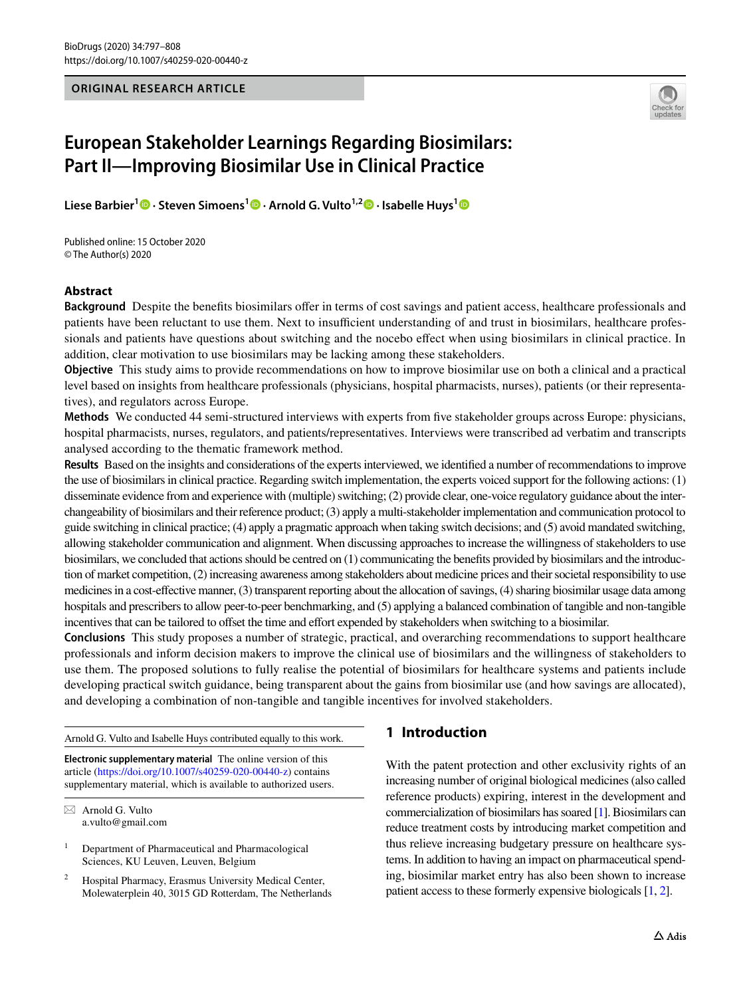### **ORIGINAL RESEARCH ARTICLE**



# **European Stakeholder Learnings Regarding Biosimilars: Part II—Improving Biosimilar Use in Clinical Practice**

**Liese Barbier1 · Steven Simoens1  [·](http://orcid.org/0000-0002-9512-2005) Arnold G. Vulto1,2  [·](http://orcid.org/0000-0002-8439-2800) Isabelle Huys[1](http://orcid.org/0000-0002-4738-8298)**

Published online: 15 October 2020 © The Author(s) 2020

# **Abstract**

**Background** Despite the benefits biosimilars offer in terms of cost savings and patient access, healthcare professionals and patients have been reluctant to use them. Next to insufficient understanding of and trust in biosimilars, healthcare professionals and patients have questions about switching and the nocebo efect when using biosimilars in clinical practice. In addition, clear motivation to use biosimilars may be lacking among these stakeholders.

**Objective** This study aims to provide recommendations on how to improve biosimilar use on both a clinical and a practical level based on insights from healthcare professionals (physicians, hospital pharmacists, nurses), patients (or their representatives), and regulators across Europe.

**Methods** We conducted 44 semi-structured interviews with experts from fve stakeholder groups across Europe: physicians, hospital pharmacists, nurses, regulators, and patients/representatives. Interviews were transcribed ad verbatim and transcripts analysed according to the thematic framework method.

**Results** Based on the insights and considerations of the experts interviewed, we identifed a number of recommendations to improve the use of biosimilars in clinical practice. Regarding switch implementation, the experts voiced support for the following actions: (1) disseminate evidence from and experience with (multiple) switching; (2) provide clear, one-voice regulatory guidance about the interchangeability of biosimilars and their reference product; (3) apply a multi-stakeholder implementation and communication protocol to guide switching in clinical practice; (4) apply a pragmatic approach when taking switch decisions; and (5) avoid mandated switching, allowing stakeholder communication and alignment. When discussing approaches to increase the willingness of stakeholders to use biosimilars, we concluded that actions should be centred on (1) communicating the benefts provided by biosimilars and the introduction of market competition, (2) increasing awareness among stakeholders about medicine prices and their societal responsibility to use medicines in a cost-efective manner, (3) transparent reporting about the allocation of savings, (4) sharing biosimilar usage data among hospitals and prescribers to allow peer-to-peer benchmarking, and (5) applying a balanced combination of tangible and non-tangible incentives that can be tailored to offset the time and effort expended by stakeholders when switching to a biosimilar.

**Conclusions** This study proposes a number of strategic, practical, and overarching recommendations to support healthcare professionals and inform decision makers to improve the clinical use of biosimilars and the willingness of stakeholders to use them. The proposed solutions to fully realise the potential of biosimilars for healthcare systems and patients include developing practical switch guidance, being transparent about the gains from biosimilar use (and how savings are allocated), and developing a combination of non-tangible and tangible incentives for involved stakeholders.

Arnold G. Vulto and Isabelle Huys contributed equally to this work.

**Electronic supplementary material** The online version of this article [\(https://doi.org/10.1007/s40259-020-00440-z](https://doi.org/10.1007/s40259-020-00440-z)) contains supplementary material, which is available to authorized users.

<sup>2</sup> Hospital Pharmacy, Erasmus University Medical Center, Molewaterplein 40, 3015 GD Rotterdam, The Netherlands

# **1 Introduction**

With the patent protection and other exclusivity rights of an increasing number of original biological medicines (also called reference products) expiring, interest in the development and commercialization of biosimilars has soared [\[1\]](#page-10-0). Biosimilars can reduce treatment costs by introducing market competition and thus relieve increasing budgetary pressure on healthcare systems. In addition to having an impact on pharmaceutical spending, biosimilar market entry has also been shown to increase patient access to these formerly expensive biologicals [\[1,](#page-10-0) [2](#page-10-1)].

 $\boxtimes$  Arnold G. Vulto a.vulto@gmail.com

<sup>&</sup>lt;sup>1</sup> Department of Pharmaceutical and Pharmacological Sciences, KU Leuven, Leuven, Belgium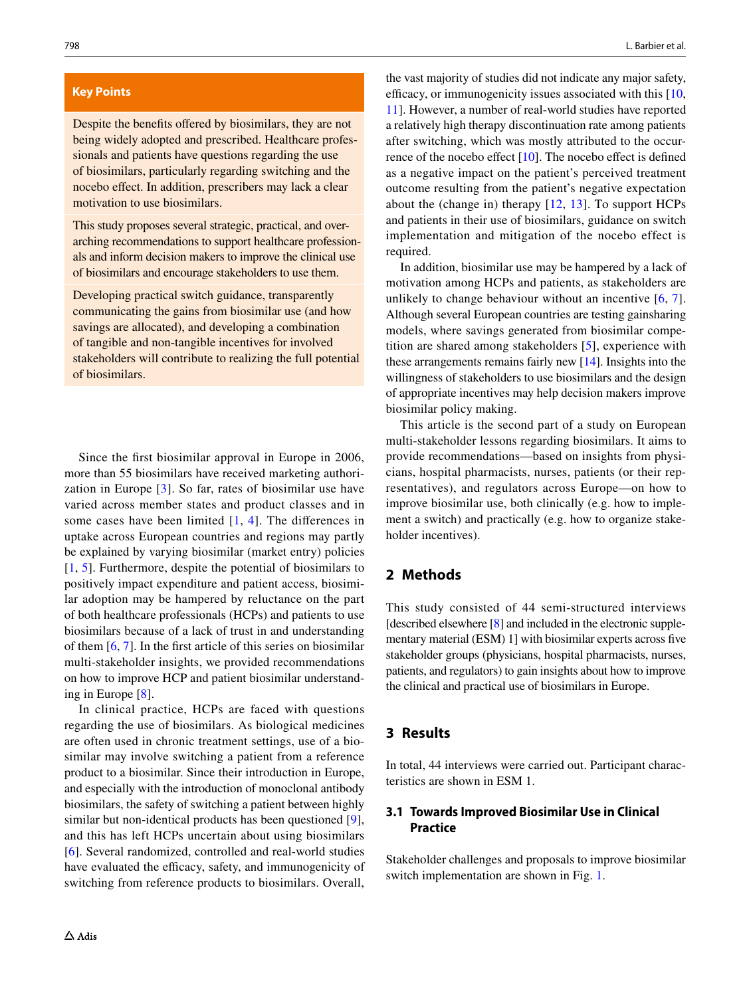#### **Key Points**

Despite the benefts ofered by biosimilars, they are not being widely adopted and prescribed. Healthcare professionals and patients have questions regarding the use of biosimilars, particularly regarding switching and the nocebo effect. In addition, prescribers may lack a clear motivation to use biosimilars.

This study proposes several strategic, practical, and overarching recommendations to support healthcare professionals and inform decision makers to improve the clinical use of biosimilars and encourage stakeholders to use them.

Developing practical switch guidance, transparently communicating the gains from biosimilar use (and how savings are allocated), and developing a combination of tangible and non-tangible incentives for involved stakeholders will contribute to realizing the full potential of biosimilars.

Since the frst biosimilar approval in Europe in 2006, more than 55 biosimilars have received marketing authorization in Europe [[3\]](#page-10-3). So far, rates of biosimilar use have varied across member states and product classes and in some cases have been limited [\[1,](#page-10-0) [4](#page-10-4)]. The diferences in uptake across European countries and regions may partly be explained by varying biosimilar (market entry) policies [\[1,](#page-10-0) [5](#page-10-2)]. Furthermore, despite the potential of biosimilars to positively impact expenditure and patient access, biosimilar adoption may be hampered by reluctance on the part of both healthcare professionals (HCPs) and patients to use biosimilars because of a lack of trust in and understanding of them [[6,](#page-11-4) [7\]](#page-11-5). In the frst article of this series on biosimilar multi-stakeholder insights, we provided recommendations on how to improve HCP and patient biosimilar understanding in Europe [[8\]](#page-11-7).

In clinical practice, HCPs are faced with questions regarding the use of biosimilars. As biological medicines are often used in chronic treatment settings, use of a biosimilar may involve switching a patient from a reference product to a biosimilar. Since their introduction in Europe, and especially with the introduction of monoclonal antibody biosimilars, the safety of switching a patient between highly similar but non-identical products has been questioned [\[9](#page-11-8)], and this has left HCPs uncertain about using biosimilars [\[6\]](#page-11-4). Several randomized, controlled and real-world studies have evaluated the efficacy, safety, and immunogenicity of switching from reference products to biosimilars. Overall,

the vast majority of studies did not indicate any major safety, efficacy, or immunogenicity issues associated with this  $[10, 10]$  $[10, 10]$  $[10, 10]$ [11](#page-11-1)]. However, a number of real-world studies have reported a relatively high therapy discontinuation rate among patients after switching, which was mostly attributed to the occurrence of the nocebo effect  $[10]$  $[10]$ . The nocebo effect is defined as a negative impact on the patient's perceived treatment outcome resulting from the patient's negative expectation about the (change in) therapy [[12](#page-11-2), [13\]](#page-11-3). To support HCPs and patients in their use of biosimilars, guidance on switch implementation and mitigation of the nocebo effect is required.

In addition, biosimilar use may be hampered by a lack of motivation among HCPs and patients, as stakeholders are unlikely to change behaviour without an incentive [\[6](#page-11-4), [7](#page-11-5)]. Although several European countries are testing gainsharing models, where savings generated from biosimilar competition are shared among stakeholders [[5\]](#page-10-2), experience with these arrangements remains fairly new [\[14\]](#page-11-6). Insights into the willingness of stakeholders to use biosimilars and the design of appropriate incentives may help decision makers improve biosimilar policy making.

This article is the second part of a study on European multi-stakeholder lessons regarding biosimilars. It aims to provide recommendations—based on insights from physicians, hospital pharmacists, nurses, patients (or their representatives), and regulators across Europe—on how to improve biosimilar use, both clinically (e.g. how to implement a switch) and practically (e.g. how to organize stakeholder incentives).

## **2 Methods**

This study consisted of 44 semi-structured interviews [described elsewhere [[8\]](#page-11-7) and included in the electronic supplementary material (ESM) 1] with biosimilar experts across fve stakeholder groups (physicians, hospital pharmacists, nurses, patients, and regulators) to gain insights about how to improve the clinical and practical use of biosimilars in Europe.

## **3 Results**

In total, 44 interviews were carried out. Participant characteristics are shown in ESM 1.

# **3.1 Towards Improved Biosimilar Use in Clinical Practice**

Stakeholder challenges and proposals to improve biosimilar switch implementation are shown in Fig. [1.](#page-2-0)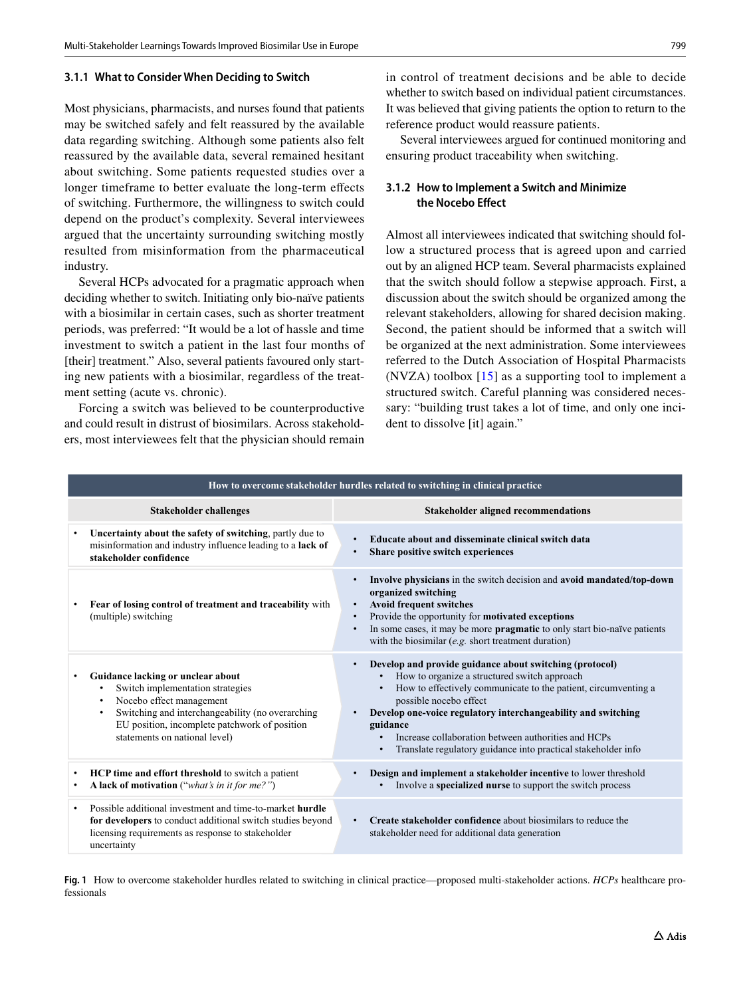#### **3.1.1 What to Consider When Deciding to Switch**

Most physicians, pharmacists, and nurses found that patients may be switched safely and felt reassured by the available data regarding switching. Although some patients also felt reassured by the available data, several remained hesitant about switching. Some patients requested studies over a longer timeframe to better evaluate the long-term effects of switching. Furthermore, the willingness to switch could depend on the product's complexity. Several interviewees argued that the uncertainty surrounding switching mostly resulted from misinformation from the pharmaceutical industry.

Several HCPs advocated for a pragmatic approach when deciding whether to switch. Initiating only bio-naïve patients with a biosimilar in certain cases, such as shorter treatment periods, was preferred: "It would be a lot of hassle and time investment to switch a patient in the last four months of [their] treatment." Also, several patients favoured only starting new patients with a biosimilar, regardless of the treatment setting (acute vs. chronic).

Forcing a switch was believed to be counterproductive and could result in distrust of biosimilars. Across stakeholders, most interviewees felt that the physician should remain in control of treatment decisions and be able to decide whether to switch based on individual patient circumstances. It was believed that giving patients the option to return to the reference product would reassure patients.

Several interviewees argued for continued monitoring and ensuring product traceability when switching.

### **3.1.2 How to Implement a Switch and Minimize the Nocebo Efect**

Almost all interviewees indicated that switching should follow a structured process that is agreed upon and carried out by an aligned HCP team. Several pharmacists explained that the switch should follow a stepwise approach. First, a discussion about the switch should be organized among the relevant stakeholders, allowing for shared decision making. Second, the patient should be informed that a switch will be organized at the next administration. Some interviewees referred to the Dutch Association of Hospital Pharmacists (NVZA) toolbox [\[15\]](#page-11-9) as a supporting tool to implement a structured switch. Careful planning was considered necessary: "building trust takes a lot of time, and only one incident to dissolve [it] again."

| How to overcome stakeholder hurdles related to switching in clinical practice                                                                                                                                                                                                  |                                                                                                                                                                                                                                                                                                                                                                                                          |  |  |  |
|--------------------------------------------------------------------------------------------------------------------------------------------------------------------------------------------------------------------------------------------------------------------------------|----------------------------------------------------------------------------------------------------------------------------------------------------------------------------------------------------------------------------------------------------------------------------------------------------------------------------------------------------------------------------------------------------------|--|--|--|
| <b>Stakeholder challenges</b>                                                                                                                                                                                                                                                  | <b>Stakeholder aligned recommendations</b>                                                                                                                                                                                                                                                                                                                                                               |  |  |  |
| Uncertainty about the safety of switching, partly due to<br>٠<br>misinformation and industry influence leading to a lack of<br>stakeholder confidence                                                                                                                          | Educate about and disseminate clinical switch data<br>Share positive switch experiences                                                                                                                                                                                                                                                                                                                  |  |  |  |
| Fear of losing control of treatment and traceability with<br>(multiple) switching                                                                                                                                                                                              | Involve physicians in the switch decision and avoid mandated/top-down<br>organized switching<br><b>Avoid frequent switches</b><br>Provide the opportunity for motivated exceptions<br>In some cases, it may be more pragmatic to only start bio-naïve patients<br>with the biosimilar (e.g. short treatment duration)                                                                                    |  |  |  |
| Guidance lacking or unclear about<br>$\bullet$<br>Switch implementation strategies<br>Nocebo effect management<br>$\bullet$<br>Switching and interchangeability (no overarching<br>$\bullet$<br>EU position, incomplete patchwork of position<br>statements on national level) | Develop and provide guidance about switching (protocol)<br>How to organize a structured switch approach<br>How to effectively communicate to the patient, circumventing a<br>possible nocebo effect<br>Develop one-voice regulatory interchangeability and switching<br>guidance<br>Increase collaboration between authorities and HCPs<br>Translate regulatory guidance into practical stakeholder info |  |  |  |
| HCP time and effort threshold to switch a patient<br>$\bullet$<br>A lack of motivation ("what's in it for me?")<br>$\bullet$                                                                                                                                                   | Design and implement a stakeholder incentive to lower threshold<br>Involve a specialized nurse to support the switch process                                                                                                                                                                                                                                                                             |  |  |  |
| Possible additional investment and time-to-market hurdle<br>٠<br>for developers to conduct additional switch studies beyond<br>licensing requirements as response to stakeholder<br>uncertainty                                                                                | Create stakeholder confidence about biosimilars to reduce the<br>$\bullet$<br>stakeholder need for additional data generation                                                                                                                                                                                                                                                                            |  |  |  |

<span id="page-2-0"></span>**Fig. 1** How to overcome stakeholder hurdles related to switching in clinical practice—proposed multi-stakeholder actions. *HCPs* healthcare professionals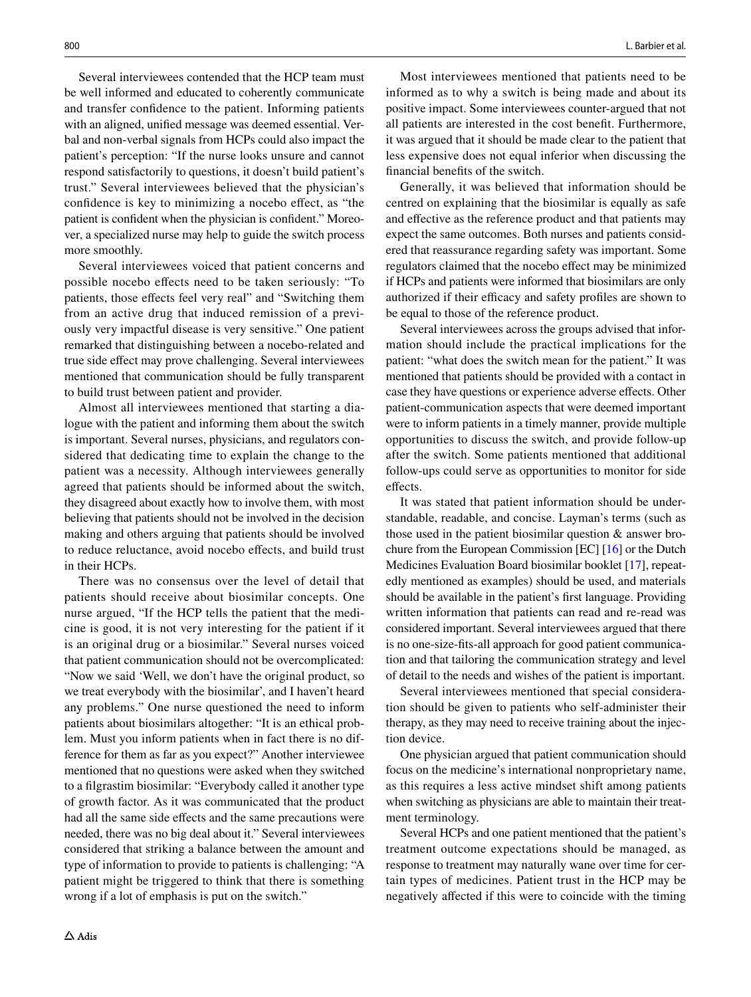Several interviewees contended that the HCP team must be well informed and educated to coherently communicate and transfer confdence to the patient. Informing patients with an aligned, unifed message was deemed essential. Verbal and non-verbal signals from HCPs could also impact the patient's perception: "If the nurse looks unsure and cannot respond satisfactorily to questions, it doesn't build patient's trust." Several interviewees believed that the physician's confdence is key to minimizing a nocebo efect, as "the patient is confdent when the physician is confdent." Moreover, a specialized nurse may help to guide the switch process more smoothly.

Several interviewees voiced that patient concerns and possible nocebo efects need to be taken seriously: "To patients, those efects feel very real" and "Switching them from an active drug that induced remission of a previously very impactful disease is very sensitive." One patient remarked that distinguishing between a nocebo-related and true side efect may prove challenging. Several interviewees mentioned that communication should be fully transparent to build trust between patient and provider.

Almost all interviewees mentioned that starting a dialogue with the patient and informing them about the switch is important. Several nurses, physicians, and regulators considered that dedicating time to explain the change to the patient was a necessity. Although interviewees generally agreed that patients should be informed about the switch, they disagreed about exactly how to involve them, with most believing that patients should not be involved in the decision making and others arguing that patients should be involved to reduce reluctance, avoid nocebo efects, and build trust in their HCPs.

There was no consensus over the level of detail that patients should receive about biosimilar concepts. One nurse argued, "If the HCP tells the patient that the medicine is good, it is not very interesting for the patient if it is an original drug or a biosimilar." Several nurses voiced that patient communication should not be overcomplicated: "Now we said 'Well, we don't have the original product, so we treat everybody with the biosimilar', and I haven't heard any problems." One nurse questioned the need to inform patients about biosimilars altogether: "It is an ethical problem. Must you inform patients when in fact there is no difference for them as far as you expect?" Another interviewee mentioned that no questions were asked when they switched to a flgrastim biosimilar: "Everybody called it another type of growth factor. As it was communicated that the product had all the same side effects and the same precautions were needed, there was no big deal about it." Several interviewees considered that striking a balance between the amount and type of information to provide to patients is challenging: "A patient might be triggered to think that there is something wrong if a lot of emphasis is put on the switch."

Most interviewees mentioned that patients need to be informed as to why a switch is being made and about its positive impact. Some interviewees counter-argued that not all patients are interested in the cost beneft. Furthermore, it was argued that it should be made clear to the patient that less expensive does not equal inferior when discussing the fnancial benefts of the switch.

Generally, it was believed that information should be centred on explaining that the biosimilar is equally as safe and efective as the reference product and that patients may expect the same outcomes. Both nurses and patients considered that reassurance regarding safety was important. Some regulators claimed that the nocebo efect may be minimized if HCPs and patients were informed that biosimilars are only authorized if their efficacy and safety profiles are shown to be equal to those of the reference product.

Several interviewees across the groups advised that information should include the practical implications for the patient: "what does the switch mean for the patient." It was mentioned that patients should be provided with a contact in case they have questions or experience adverse efects. Other patient-communication aspects that were deemed important were to inform patients in a timely manner, provide multiple opportunities to discuss the switch, and provide follow-up after the switch. Some patients mentioned that additional follow-ups could serve as opportunities to monitor for side effects.

It was stated that patient information should be understandable, readable, and concise. Layman's terms (such as those used in the patient biosimilar question  $\&$  answer brochure from the European Commission [EC] [[16\]](#page-11-10) or the Dutch Medicines Evaluation Board biosimilar booklet [\[17\]](#page-11-11), repeatedly mentioned as examples) should be used, and materials should be available in the patient's frst language. Providing written information that patients can read and re-read was considered important. Several interviewees argued that there is no one-size-fts-all approach for good patient communication and that tailoring the communication strategy and level of detail to the needs and wishes of the patient is important.

Several interviewees mentioned that special consideration should be given to patients who self-administer their therapy, as they may need to receive training about the injection device.

One physician argued that patient communication should focus on the medicine's international nonproprietary name, as this requires a less active mindset shift among patients when switching as physicians are able to maintain their treatment terminology.

Several HCPs and one patient mentioned that the patient's treatment outcome expectations should be managed, as response to treatment may naturally wane over time for certain types of medicines. Patient trust in the HCP may be negatively afected if this were to coincide with the timing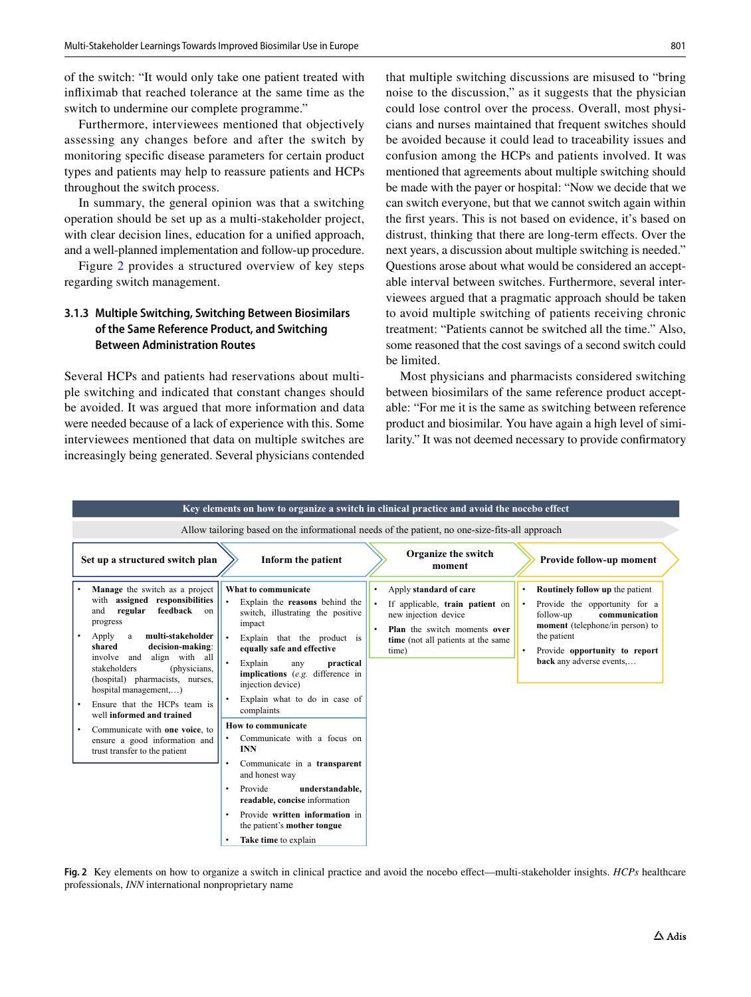of the switch: "It would only take one patient treated with infiximab that reached tolerance at the same time as the switch to undermine our complete programme."

Furthermore, interviewees mentioned that objectively assessing any changes before and after the switch by monitoring specifc disease parameters for certain product types and patients may help to reassure patients and HCPs throughout the switch process.

In summary, the general opinion was that a switching operation should be set up as a multi-stakeholder project, with clear decision lines, education for a unifed approach, and a well-planned implementation and follow-up procedure.

Figure [2](#page-4-0) provides a structured overview of key steps regarding switch management.

### **3.1.3 Multiple Switching, Switching Between Biosimilars of the Same Reference Product, and Switching Between Administration Routes**

Several HCPs and patients had reservations about multiple switching and indicated that constant changes should be avoided. It was argued that more information and data were needed because of a lack of experience with this. Some interviewees mentioned that data on multiple switches are increasingly being generated. Several physicians contended that multiple switching discussions are misused to "bring noise to the discussion," as it suggests that the physician could lose control over the process. Overall, most physicians and nurses maintained that frequent switches should be avoided because it could lead to traceability issues and confusion among the HCPs and patients involved. It was mentioned that agreements about multiple switching should be made with the payer or hospital: "Now we decide that we can switch everyone, but that we cannot switch again within the frst years. This is not based on evidence, it's based on distrust, thinking that there are long-term efects. Over the next years, a discussion about multiple switching is needed." Questions arose about what would be considered an acceptable interval between switches. Furthermore, several interviewees argued that a pragmatic approach should be taken to avoid multiple switching of patients receiving chronic treatment: "Patients cannot be switched all the time." Also, some reasoned that the cost savings of a second switch could be limited.

Most physicians and pharmacists considered switching between biosimilars of the same reference product acceptable: "For me it is the same as switching between reference product and biosimilar. You have again a high level of similarity." It was not deemed necessary to provide confrmatory

|                                                                                                                                                                                                                                                                                                                                                                                                 | Key elements on how to organize a switch in clinical practice and avoid the nocebo effect                                                                                                                                                                                                                                          |                                                                                                                                                                               |                                                                                                                                                                                                                     |  |  |
|-------------------------------------------------------------------------------------------------------------------------------------------------------------------------------------------------------------------------------------------------------------------------------------------------------------------------------------------------------------------------------------------------|------------------------------------------------------------------------------------------------------------------------------------------------------------------------------------------------------------------------------------------------------------------------------------------------------------------------------------|-------------------------------------------------------------------------------------------------------------------------------------------------------------------------------|---------------------------------------------------------------------------------------------------------------------------------------------------------------------------------------------------------------------|--|--|
| Allow tailoring based on the informational needs of the patient, no one-size-fits-all approach                                                                                                                                                                                                                                                                                                  |                                                                                                                                                                                                                                                                                                                                    |                                                                                                                                                                               |                                                                                                                                                                                                                     |  |  |
| Set up a structured switch plan                                                                                                                                                                                                                                                                                                                                                                 | Inform the patient                                                                                                                                                                                                                                                                                                                 | Organize the switch<br>moment                                                                                                                                                 | Provide follow-up moment                                                                                                                                                                                            |  |  |
| Manage the switch as a project<br>with assigned responsibilities<br>feedback on<br>and<br>regular<br>progress<br>multi-stakeholder<br>Apply<br>a -<br>٠<br>shared<br>decision-making:<br>align with all<br>involve and<br>stakeholders<br>(physicians,<br>(hospital) pharmacists, nurses,<br>hospital management, $)$<br>Ensure that the HCPs team is<br>$\bullet$<br>well informed and trained | What to communicate<br>$\bullet$<br>Explain the reasons behind the<br>switch, illustrating the positive<br>impact<br>Explain that the product is<br>equally safe and effective<br>$\bullet$<br>Explain<br>practical<br>any<br>implications (e.g. difference in<br>injection device)<br>Explain what to do in case of<br>complaints | Apply standard of care<br>If applicable, train patient on<br>$\bullet$<br>new injection device<br>Plan the switch moments over<br>time (not all patients at the same<br>time) | <b>Routinely follow up the patient</b><br>Provide the opportunity for a<br>follow-up<br>communication<br>moment (telephone/in person) to<br>the patient<br>Provide opportunity to report<br>back any adverse events |  |  |
| Communicate with one voice, to<br>٠<br>ensure a good information and<br>trust transfer to the patient                                                                                                                                                                                                                                                                                           | How to communicate<br>Communicate with a focus on<br><b>INN</b><br>Communicate in a transparent<br>٠<br>and honest way<br>Provide<br>understandable.<br>$\bullet$<br>readable, concise information<br>Provide written information in<br>$\bullet$<br>the patient's mother tongue<br>Take time to explain<br>$\bullet$              |                                                                                                                                                                               |                                                                                                                                                                                                                     |  |  |

<span id="page-4-0"></span>**Fig. 2** Key elements on how to organize a switch in clinical practice and avoid the nocebo efect—multi-stakeholder insights. *HCPs* healthcare professionals, *INN* international nonproprietary name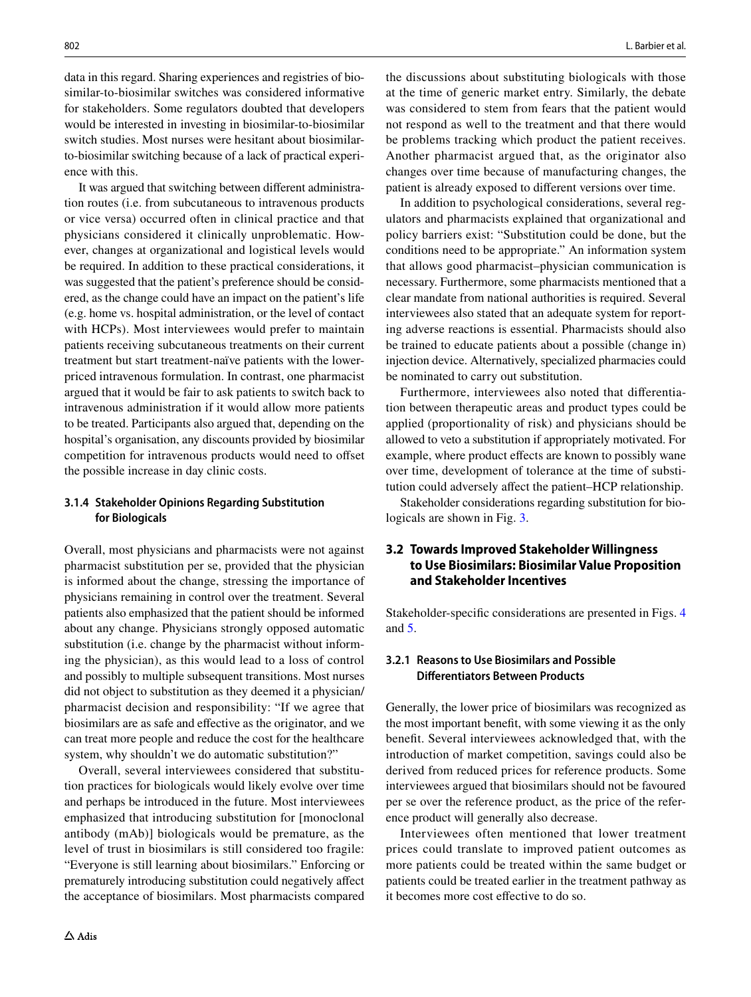data in this regard. Sharing experiences and registries of biosimilar-to-biosimilar switches was considered informative for stakeholders. Some regulators doubted that developers would be interested in investing in biosimilar-to-biosimilar switch studies. Most nurses were hesitant about biosimilarto-biosimilar switching because of a lack of practical experience with this.

It was argued that switching between diferent administration routes (i.e. from subcutaneous to intravenous products or vice versa) occurred often in clinical practice and that physicians considered it clinically unproblematic. However, changes at organizational and logistical levels would be required. In addition to these practical considerations, it was suggested that the patient's preference should be considered, as the change could have an impact on the patient's life (e.g. home vs. hospital administration, or the level of contact with HCPs). Most interviewees would prefer to maintain patients receiving subcutaneous treatments on their current treatment but start treatment-naïve patients with the lowerpriced intravenous formulation. In contrast, one pharmacist argued that it would be fair to ask patients to switch back to intravenous administration if it would allow more patients to be treated. Participants also argued that, depending on the hospital's organisation, any discounts provided by biosimilar competition for intravenous products would need to ofset the possible increase in day clinic costs.

## **3.1.4 Stakeholder Opinions Regarding Substitution for Biologicals**

Overall, most physicians and pharmacists were not against pharmacist substitution per se, provided that the physician is informed about the change, stressing the importance of physicians remaining in control over the treatment. Several patients also emphasized that the patient should be informed about any change. Physicians strongly opposed automatic substitution (i.e. change by the pharmacist without informing the physician), as this would lead to a loss of control and possibly to multiple subsequent transitions. Most nurses did not object to substitution as they deemed it a physician/ pharmacist decision and responsibility: "If we agree that biosimilars are as safe and efective as the originator, and we can treat more people and reduce the cost for the healthcare system, why shouldn't we do automatic substitution?"

Overall, several interviewees considered that substitution practices for biologicals would likely evolve over time and perhaps be introduced in the future. Most interviewees emphasized that introducing substitution for [monoclonal antibody (mAb)] biologicals would be premature, as the level of trust in biosimilars is still considered too fragile: "Everyone is still learning about biosimilars." Enforcing or prematurely introducing substitution could negatively afect the acceptance of biosimilars. Most pharmacists compared the discussions about substituting biologicals with those at the time of generic market entry. Similarly, the debate was considered to stem from fears that the patient would not respond as well to the treatment and that there would be problems tracking which product the patient receives. Another pharmacist argued that, as the originator also changes over time because of manufacturing changes, the patient is already exposed to diferent versions over time.

In addition to psychological considerations, several regulators and pharmacists explained that organizational and policy barriers exist: "Substitution could be done, but the conditions need to be appropriate." An information system that allows good pharmacist–physician communication is necessary. Furthermore, some pharmacists mentioned that a clear mandate from national authorities is required. Several interviewees also stated that an adequate system for reporting adverse reactions is essential. Pharmacists should also be trained to educate patients about a possible (change in) injection device. Alternatively, specialized pharmacies could be nominated to carry out substitution.

Furthermore, interviewees also noted that diferentiation between therapeutic areas and product types could be applied (proportionality of risk) and physicians should be allowed to veto a substitution if appropriately motivated. For example, where product effects are known to possibly wane over time, development of tolerance at the time of substitution could adversely afect the patient–HCP relationship.

Stakeholder considerations regarding substitution for biologicals are shown in Fig. [3](#page-6-0).

# **3.2 Towards Improved Stakeholder Willingness to Use Biosimilars: Biosimilar Value Proposition and Stakeholder Incentives**

Stakeholder-specifc considerations are presented in Figs. [4](#page-6-1) and [5](#page-7-0).

# **3.2.1 Reasons to Use Biosimilars and Possible Diferentiators Between Products**

Generally, the lower price of biosimilars was recognized as the most important beneft, with some viewing it as the only beneft. Several interviewees acknowledged that, with the introduction of market competition, savings could also be derived from reduced prices for reference products. Some interviewees argued that biosimilars should not be favoured per se over the reference product, as the price of the reference product will generally also decrease.

Interviewees often mentioned that lower treatment prices could translate to improved patient outcomes as more patients could be treated within the same budget or patients could be treated earlier in the treatment pathway as it becomes more cost efective to do so.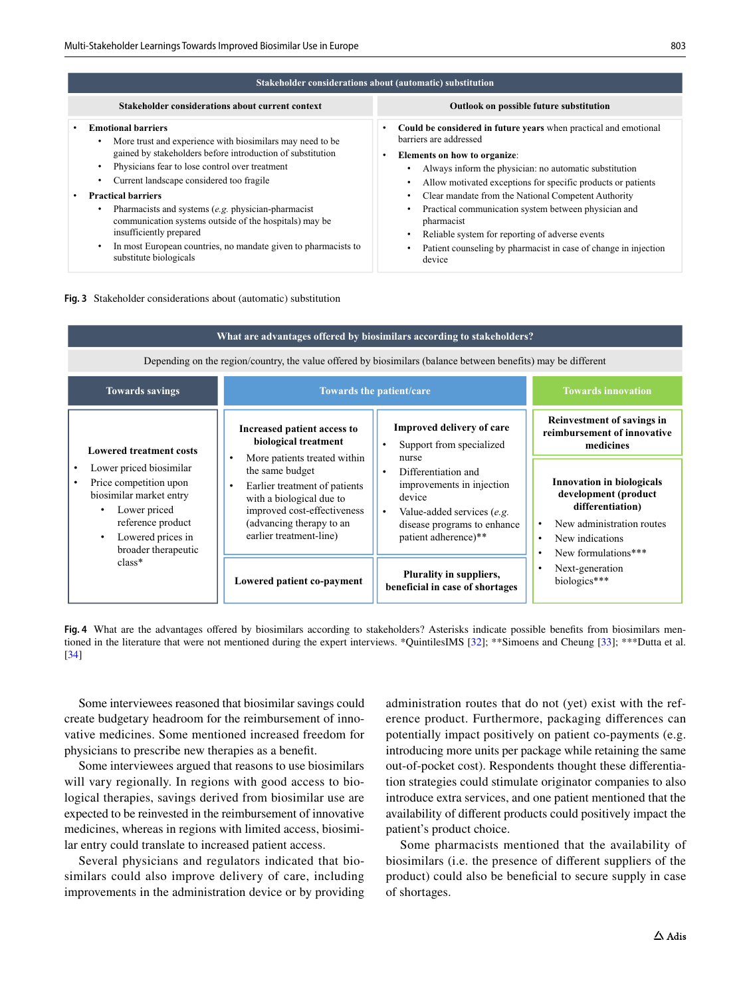| Stakeholder considerations about (automatic) substitution                                                                                                                                                                            |                                                                                                                                                                                                              |  |  |
|--------------------------------------------------------------------------------------------------------------------------------------------------------------------------------------------------------------------------------------|--------------------------------------------------------------------------------------------------------------------------------------------------------------------------------------------------------------|--|--|
| Stakeholder considerations about current context                                                                                                                                                                                     | <b>Outlook on possible future substitution</b>                                                                                                                                                               |  |  |
| <b>Emotional barriers</b><br>More trust and experience with biosimilars may need to be.<br>gained by stakeholders before introduction of substitution                                                                                | Could be considered in future years when practical and emotional<br>barriers are addressed<br>Elements on how to organize:<br>٠                                                                              |  |  |
| Physicians fear to lose control over treatment<br>Current landscape considered too fragile<br><b>Practical barriers</b>                                                                                                              | Always inform the physician: no automatic substitution<br>Allow motivated exceptions for specific products or patients<br>Clear mandate from the National Competent Authority                                |  |  |
| Pharmacists and systems (e.g. physician-pharmacist)<br>communication systems outside of the hospitals) may be<br>insufficiently prepared<br>In most European countries, no mandate given to pharmacists to<br>substitute biologicals | Practical communication system between physician and<br>٠<br>pharmacist<br>Reliable system for reporting of adverse events<br>Patient counseling by pharmacist in case of change in injection<br>٠<br>device |  |  |

<span id="page-6-0"></span>

| What are advantages offered by biosimilars according to stakeholders?                                                                                                                                                                                                                                                                                                                                                                        |                                                                                                                                                                   |                                                                                                                                                        |                                                                                                                                                            |  |  |
|----------------------------------------------------------------------------------------------------------------------------------------------------------------------------------------------------------------------------------------------------------------------------------------------------------------------------------------------------------------------------------------------------------------------------------------------|-------------------------------------------------------------------------------------------------------------------------------------------------------------------|--------------------------------------------------------------------------------------------------------------------------------------------------------|------------------------------------------------------------------------------------------------------------------------------------------------------------|--|--|
| Depending on the region/country, the value offered by biosimilars (balance between benefits) may be different                                                                                                                                                                                                                                                                                                                                |                                                                                                                                                                   |                                                                                                                                                        |                                                                                                                                                            |  |  |
| <b>Towards savings</b>                                                                                                                                                                                                                                                                                                                                                                                                                       | Towards the patient/care                                                                                                                                          |                                                                                                                                                        | <b>Towards innovation</b>                                                                                                                                  |  |  |
| Increased patient access to<br>biological treatment<br>$\bullet$<br><b>Lowered treatment costs</b><br>More patients treated within<br>$\bullet$<br>Lower priced biosimilar<br>$\bullet$<br>the same budget<br>$\bullet$<br>Price competition upon<br>$\bullet$<br>Earlier treatment of patients<br>$\bullet$<br>biosimilar market entry<br>with a biological due to<br>Lower priced<br>improved cost-effectiveness<br>$\bullet$<br>$\bullet$ | <b>Improved delivery of care</b><br>Support from specialized<br>nurse<br>Differentiation and<br>improvements in injection<br>device<br>Value-added services (e.g. | <b>Reinvestment of savings in</b><br>reimbursement of innovative<br>medicines<br>Innovation in biologicals<br>development (product<br>differentiation) |                                                                                                                                                            |  |  |
| reference product<br>Lowered prices in<br>$\bullet$<br>broader therapeutic                                                                                                                                                                                                                                                                                                                                                                   | (advancing therapy to an<br>earlier treatment-line)                                                                                                               | disease programs to enhance<br>patient adherence)**                                                                                                    | New administration routes<br>$\bullet$<br>New indications<br>$\bullet$<br>New formulations***<br>$\bullet$<br>Next-generation<br>$\bullet$<br>biologics*** |  |  |
| $class*$                                                                                                                                                                                                                                                                                                                                                                                                                                     | Lowered patient co-payment                                                                                                                                        | Plurality in suppliers,<br>beneficial in case of shortages                                                                                             |                                                                                                                                                            |  |  |

<span id="page-6-1"></span>**Fig. 4** What are the advantages ofered by biosimilars according to stakeholders? Asterisks indicate possible benefts from biosimilars mentioned in the literature that were not mentioned during the expert interviews. \*QuintilesIMS [[32](#page-11-12)]; \*\*Simoens and Cheung [[33](#page-11-13)]; \*\*\*Dutta et al. [[34](#page-11-14)]

Some interviewees reasoned that biosimilar savings could create budgetary headroom for the reimbursement of innovative medicines. Some mentioned increased freedom for physicians to prescribe new therapies as a beneft.

Some interviewees argued that reasons to use biosimilars will vary regionally. In regions with good access to biological therapies, savings derived from biosimilar use are expected to be reinvested in the reimbursement of innovative medicines, whereas in regions with limited access, biosimilar entry could translate to increased patient access.

Several physicians and regulators indicated that biosimilars could also improve delivery of care, including improvements in the administration device or by providing administration routes that do not (yet) exist with the reference product. Furthermore, packaging diferences can potentially impact positively on patient co-payments (e.g. introducing more units per package while retaining the same out-of-pocket cost). Respondents thought these diferentiation strategies could stimulate originator companies to also introduce extra services, and one patient mentioned that the availability of diferent products could positively impact the patient's product choice.

Some pharmacists mentioned that the availability of biosimilars (i.e. the presence of diferent suppliers of the product) could also be benefcial to secure supply in case of shortages.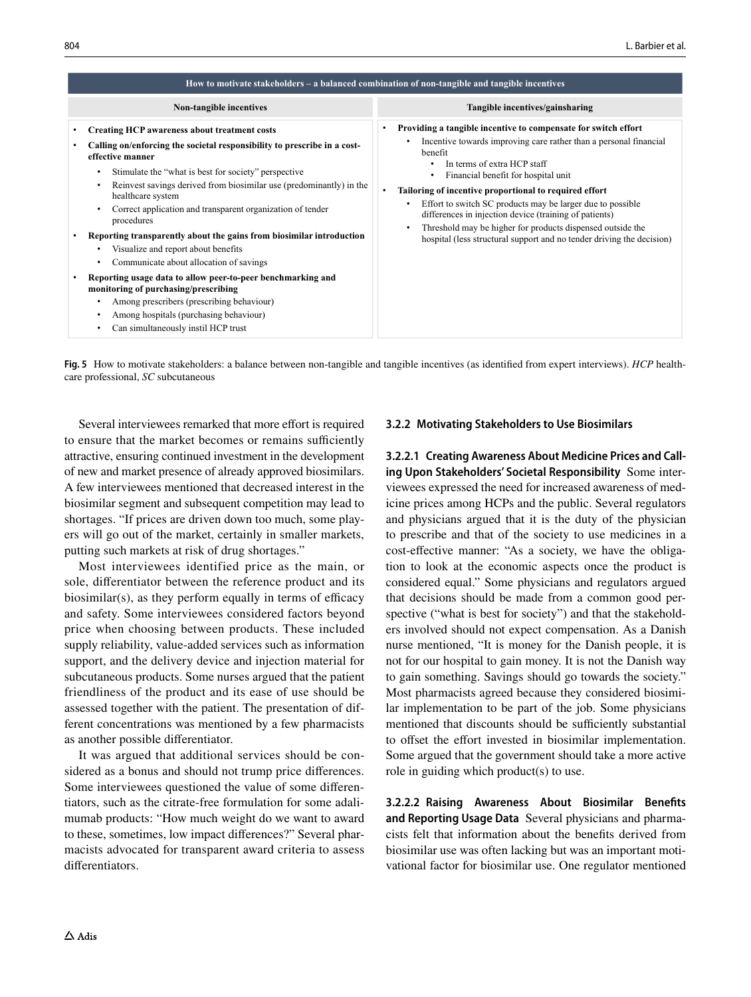| How to motivate stakeholders – a balanced combination of non-tangible and tangible incentives                                                                                                                                                                                                                                                                                                                                                                                                                                                                                                                                                                                                                                                                               |                                                                                                                                                                                                                                                                                                                                                                                                                                                                                                                                                                        |  |  |
|-----------------------------------------------------------------------------------------------------------------------------------------------------------------------------------------------------------------------------------------------------------------------------------------------------------------------------------------------------------------------------------------------------------------------------------------------------------------------------------------------------------------------------------------------------------------------------------------------------------------------------------------------------------------------------------------------------------------------------------------------------------------------------|------------------------------------------------------------------------------------------------------------------------------------------------------------------------------------------------------------------------------------------------------------------------------------------------------------------------------------------------------------------------------------------------------------------------------------------------------------------------------------------------------------------------------------------------------------------------|--|--|
| Non-tangible incentives                                                                                                                                                                                                                                                                                                                                                                                                                                                                                                                                                                                                                                                                                                                                                     | Tangible incentives/gainsharing                                                                                                                                                                                                                                                                                                                                                                                                                                                                                                                                        |  |  |
| Creating HCP awareness about treatment costs<br>Calling on/enforcing the societal responsibility to prescribe in a cost-<br>effective manner<br>Stimulate the "what is best for society" perspective<br>Reinvest savings derived from biosimilar use (predominantly) in the<br>healthcare system<br>Correct application and transparent organization of tender<br>procedures<br>Reporting transparently about the gains from biosimilar introduction<br>Visualize and report about benefits<br>Communicate about allocation of savings<br>Reporting usage data to allow peer-to-peer benchmarking and<br>monitoring of purchasing/prescribing<br>Among prescribers (prescribing behaviour)<br>Among hospitals (purchasing behaviour)<br>Can simultaneously instil HCP trust | Providing a tangible incentive to compensate for switch effort<br>٠<br>Incentive towards improving care rather than a personal financial<br>٠<br>benefit<br>In terms of extra HCP staff<br>Financial benefit for hospital unit<br>Tailoring of incentive proportional to required effort<br>٠<br>Effort to switch SC products may be larger due to possible<br>٠<br>differences in injection device (training of patients)<br>Threshold may be higher for products dispensed outside the<br>٠<br>hospital (less structural support and no tender driving the decision) |  |  |

<span id="page-7-0"></span>**Fig. 5** How to motivate stakeholders: a balance between non-tangible and tangible incentives (as identifed from expert interviews). *HCP* healthcare professional, *SC* subcutaneous

Several interviewees remarked that more effort is required to ensure that the market becomes or remains sufficiently attractive, ensuring continued investment in the development of new and market presence of already approved biosimilars. A few interviewees mentioned that decreased interest in the biosimilar segment and subsequent competition may lead to shortages. "If prices are driven down too much, some players will go out of the market, certainly in smaller markets, putting such markets at risk of drug shortages."

Most interviewees identified price as the main, or sole, diferentiator between the reference product and its  $bio similar(s)$ , as they perform equally in terms of efficacy and safety. Some interviewees considered factors beyond price when choosing between products. These included supply reliability, value-added services such as information support, and the delivery device and injection material for subcutaneous products. Some nurses argued that the patient friendliness of the product and its ease of use should be assessed together with the patient. The presentation of different concentrations was mentioned by a few pharmacists as another possible diferentiator.

It was argued that additional services should be considered as a bonus and should not trump price diferences. Some interviewees questioned the value of some diferentiators, such as the citrate-free formulation for some adalimumab products: "How much weight do we want to award to these, sometimes, low impact diferences?" Several pharmacists advocated for transparent award criteria to assess diferentiators.

#### **3.2.2 Motivating Stakeholders to Use Biosimilars**

**3.2.2.1 Creating Awareness About Medicine Prices and Calling Upon Stakeholders' Societal Responsibility** Some interviewees expressed the need for increased awareness of medicine prices among HCPs and the public. Several regulators and physicians argued that it is the duty of the physician to prescribe and that of the society to use medicines in a cost-efective manner: "As a society, we have the obligation to look at the economic aspects once the product is considered equal." Some physicians and regulators argued that decisions should be made from a common good perspective ("what is best for society") and that the stakeholders involved should not expect compensation. As a Danish nurse mentioned, "It is money for the Danish people, it is not for our hospital to gain money. It is not the Danish way to gain something. Savings should go towards the society." Most pharmacists agreed because they considered biosimilar implementation to be part of the job. Some physicians mentioned that discounts should be sufficiently substantial to ofset the efort invested in biosimilar implementation. Some argued that the government should take a more active role in guiding which product(s) to use.

**3.2.2.2 Raising Awareness About Biosimilar Benefts and Reporting Usage Data** Several physicians and pharmacists felt that information about the benefts derived from biosimilar use was often lacking but was an important motivational factor for biosimilar use. One regulator mentioned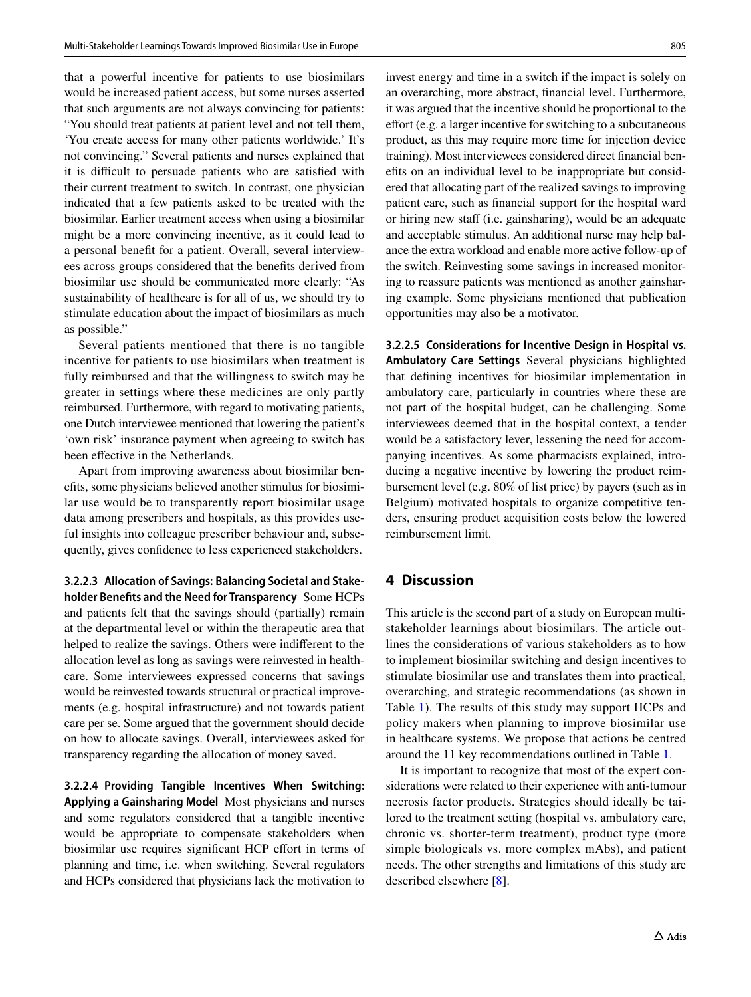that a powerful incentive for patients to use biosimilars would be increased patient access, but some nurses asserted that such arguments are not always convincing for patients: "You should treat patients at patient level and not tell them, 'You create access for many other patients worldwide.' It's not convincing." Several patients and nurses explained that it is difficult to persuade patients who are satisfied with their current treatment to switch. In contrast, one physician indicated that a few patients asked to be treated with the biosimilar. Earlier treatment access when using a biosimilar might be a more convincing incentive, as it could lead to a personal beneft for a patient. Overall, several interviewees across groups considered that the benefts derived from biosimilar use should be communicated more clearly: "As sustainability of healthcare is for all of us, we should try to stimulate education about the impact of biosimilars as much as possible."

Several patients mentioned that there is no tangible incentive for patients to use biosimilars when treatment is fully reimbursed and that the willingness to switch may be greater in settings where these medicines are only partly reimbursed. Furthermore, with regard to motivating patients, one Dutch interviewee mentioned that lowering the patient's 'own risk' insurance payment when agreeing to switch has been effective in the Netherlands.

Apart from improving awareness about biosimilar benefts, some physicians believed another stimulus for biosimilar use would be to transparently report biosimilar usage data among prescribers and hospitals, as this provides useful insights into colleague prescriber behaviour and, subsequently, gives confdence to less experienced stakeholders.

**3.2.2.3 Allocation of Savings: Balancing Societal and Stakeholder Benefts and the Need for Transparency** Some HCPs and patients felt that the savings should (partially) remain at the departmental level or within the therapeutic area that helped to realize the savings. Others were indiferent to the allocation level as long as savings were reinvested in healthcare. Some interviewees expressed concerns that savings would be reinvested towards structural or practical improvements (e.g. hospital infrastructure) and not towards patient care per se. Some argued that the government should decide on how to allocate savings. Overall, interviewees asked for transparency regarding the allocation of money saved.

**3.2.2.4 Providing Tangible Incentives When Switching: Applying a Gainsharing Model** Most physicians and nurses and some regulators considered that a tangible incentive would be appropriate to compensate stakeholders when biosimilar use requires significant HCP effort in terms of planning and time, i.e. when switching. Several regulators and HCPs considered that physicians lack the motivation to invest energy and time in a switch if the impact is solely on an overarching, more abstract, fnancial level. Furthermore, it was argued that the incentive should be proportional to the effort (e.g. a larger incentive for switching to a subcutaneous product, as this may require more time for injection device training). Most interviewees considered direct fnancial benefts on an individual level to be inappropriate but considered that allocating part of the realized savings to improving patient care, such as fnancial support for the hospital ward or hiring new staff (i.e. gainsharing), would be an adequate and acceptable stimulus. An additional nurse may help balance the extra workload and enable more active follow-up of the switch. Reinvesting some savings in increased monitoring to reassure patients was mentioned as another gainsharing example. Some physicians mentioned that publication opportunities may also be a motivator.

**3.2.2.5 Considerations for Incentive Design in Hospital vs. Ambulatory Care Settings** Several physicians highlighted that defning incentives for biosimilar implementation in ambulatory care, particularly in countries where these are not part of the hospital budget, can be challenging. Some interviewees deemed that in the hospital context, a tender would be a satisfactory lever, lessening the need for accompanying incentives. As some pharmacists explained, introducing a negative incentive by lowering the product reimbursement level (e.g. 80% of list price) by payers (such as in Belgium) motivated hospitals to organize competitive tenders, ensuring product acquisition costs below the lowered reimbursement limit.

# **4 Discussion**

This article is the second part of a study on European multistakeholder learnings about biosimilars. The article outlines the considerations of various stakeholders as to how to implement biosimilar switching and design incentives to stimulate biosimilar use and translates them into practical, overarching, and strategic recommendations (as shown in Table [1](#page-9-0)). The results of this study may support HCPs and policy makers when planning to improve biosimilar use in healthcare systems. We propose that actions be centred around the 11 key recommendations outlined in Table [1.](#page-9-0)

It is important to recognize that most of the expert considerations were related to their experience with anti-tumour necrosis factor products. Strategies should ideally be tailored to the treatment setting (hospital vs. ambulatory care, chronic vs. shorter-term treatment), product type (more simple biologicals vs. more complex mAbs), and patient needs. The other strengths and limitations of this study are described elsewhere [[8\]](#page-11-7).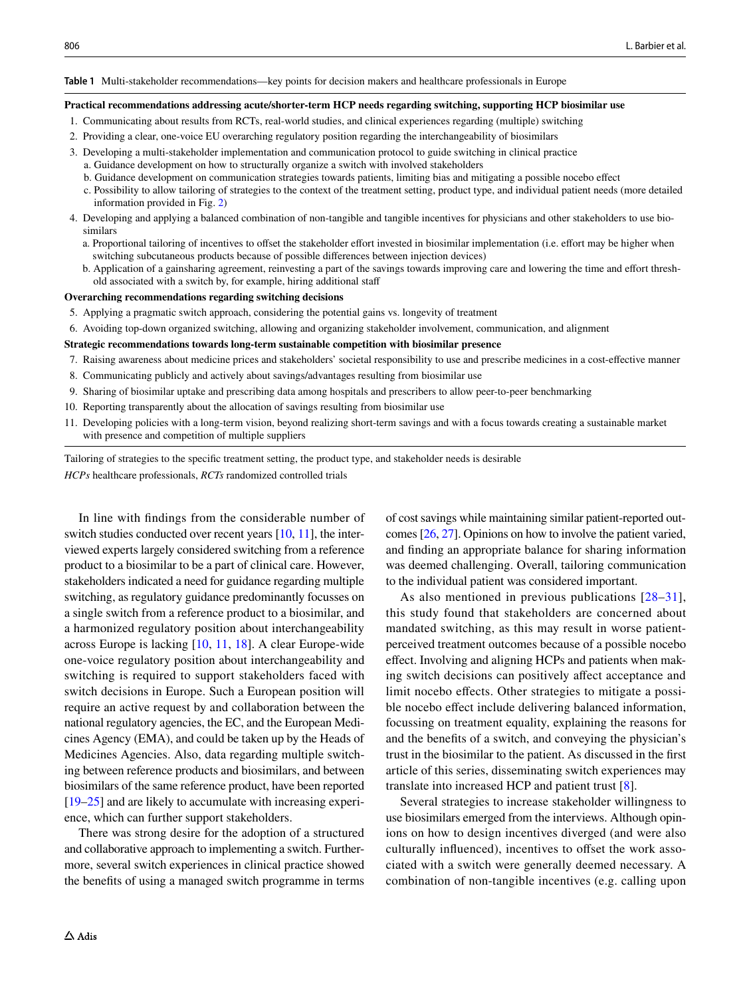<span id="page-9-0"></span>**Table 1** Multi-stakeholder recommendations—key points for decision makers and healthcare professionals in Europe

#### **Practical recommendations addressing acute/shorter-term HCP needs regarding switching, supporting HCP biosimilar use**

- 1. Communicating about results from RCTs, real-world studies, and clinical experiences regarding (multiple) switching
- 2. Providing a clear, one-voice EU overarching regulatory position regarding the interchangeability of biosimilars
- 3. Developing a multi-stakeholder implementation and communication protocol to guide switching in clinical practice
	- a. Guidance development on how to structurally organize a switch with involved stakeholders
	- b. Guidance development on communication strategies towards patients, limiting bias and mitigating a possible nocebo efect
	- c. Possibility to allow tailoring of strategies to the context of the treatment setting, product type, and individual patient needs (more detailed information provided in Fig. [2](#page-4-0))
- 4. Developing and applying a balanced combination of non-tangible and tangible incentives for physicians and other stakeholders to use biosimilars
	- a. Proportional tailoring of incentives to offset the stakeholder effort invested in biosimilar implementation (i.e. effort may be higher when switching subcutaneous products because of possible diferences between injection devices)
	- b. Application of a gainsharing agreement, reinvesting a part of the savings towards improving care and lowering the time and efort threshold associated with a switch by, for example, hiring additional staf

#### **Overarching recommendations regarding switching decisions**

- 5. Applying a pragmatic switch approach, considering the potential gains vs. longevity of treatment
- 6. Avoiding top-down organized switching, allowing and organizing stakeholder involvement, communication, and alignment

#### **Strategic recommendations towards long-term sustainable competition with biosimilar presence**

- 7. Raising awareness about medicine prices and stakeholders' societal responsibility to use and prescribe medicines in a cost-efective manner
- 8. Communicating publicly and actively about savings/advantages resulting from biosimilar use
- 9. Sharing of biosimilar uptake and prescribing data among hospitals and prescribers to allow peer-to-peer benchmarking
- 10. Reporting transparently about the allocation of savings resulting from biosimilar use
- 11. Developing policies with a long-term vision, beyond realizing short-term savings and with a focus towards creating a sustainable market with presence and competition of multiple suppliers

Tailoring of strategies to the specifc treatment setting, the product type, and stakeholder needs is desirable *HCPs* healthcare professionals, *RCTs* randomized controlled trials

In line with fndings from the considerable number of switch studies conducted over recent years  $[10, 11]$  $[10, 11]$  $[10, 11]$  $[10, 11]$ , the interviewed experts largely considered switching from a reference product to a biosimilar to be a part of clinical care. However, stakeholders indicated a need for guidance regarding multiple switching, as regulatory guidance predominantly focusses on a single switch from a reference product to a biosimilar, and a harmonized regulatory position about interchangeability across Europe is lacking [[10,](#page-11-0) [11,](#page-11-1) [18](#page-11-15)]. A clear Europe-wide one-voice regulatory position about interchangeability and switching is required to support stakeholders faced with switch decisions in Europe. Such a European position will require an active request by and collaboration between the national regulatory agencies, the EC, and the European Medicines Agency (EMA), and could be taken up by the Heads of Medicines Agencies. Also, data regarding multiple switching between reference products and biosimilars, and between biosimilars of the same reference product, have been reported [\[19](#page-11-16)[–25](#page-11-17)] and are likely to accumulate with increasing experience, which can further support stakeholders.

There was strong desire for the adoption of a structured and collaborative approach to implementing a switch. Furthermore, several switch experiences in clinical practice showed the benefts of using a managed switch programme in terms of cost savings while maintaining similar patient-reported outcomes [\[26,](#page-11-18) [27](#page-11-19)]. Opinions on how to involve the patient varied, and fnding an appropriate balance for sharing information was deemed challenging. Overall, tailoring communication to the individual patient was considered important.

As also mentioned in previous publications  $[28-31]$  $[28-31]$  $[28-31]$  $[28-31]$  $[28-31]$ , this study found that stakeholders are concerned about mandated switching, as this may result in worse patientperceived treatment outcomes because of a possible nocebo efect. Involving and aligning HCPs and patients when making switch decisions can positively affect acceptance and limit nocebo efects. Other strategies to mitigate a possible nocebo effect include delivering balanced information, focussing on treatment equality, explaining the reasons for and the benefts of a switch, and conveying the physician's trust in the biosimilar to the patient. As discussed in the frst article of this series, disseminating switch experiences may translate into increased HCP and patient trust [[8\]](#page-11-7).

Several strategies to increase stakeholder willingness to use biosimilars emerged from the interviews. Although opinions on how to design incentives diverged (and were also culturally influenced), incentives to offset the work associated with a switch were generally deemed necessary. A combination of non-tangible incentives (e.g. calling upon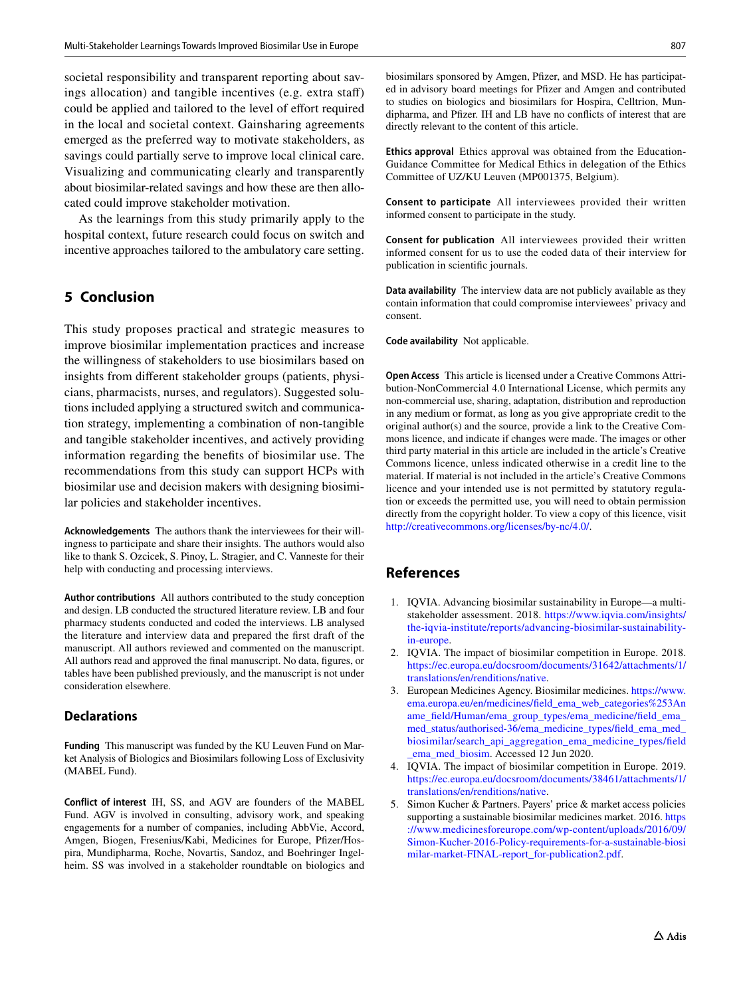societal responsibility and transparent reporting about savings allocation) and tangible incentives (e.g. extra staff) could be applied and tailored to the level of effort required in the local and societal context. Gainsharing agreements emerged as the preferred way to motivate stakeholders, as savings could partially serve to improve local clinical care. Visualizing and communicating clearly and transparently about biosimilar-related savings and how these are then allocated could improve stakeholder motivation.

As the learnings from this study primarily apply to the hospital context, future research could focus on switch and incentive approaches tailored to the ambulatory care setting.

# **5 Conclusion**

This study proposes practical and strategic measures to improve biosimilar implementation practices and increase the willingness of stakeholders to use biosimilars based on insights from diferent stakeholder groups (patients, physicians, pharmacists, nurses, and regulators). Suggested solutions included applying a structured switch and communication strategy, implementing a combination of non-tangible and tangible stakeholder incentives, and actively providing information regarding the benefts of biosimilar use. The recommendations from this study can support HCPs with biosimilar use and decision makers with designing biosimilar policies and stakeholder incentives.

**Acknowledgements** The authors thank the interviewees for their willingness to participate and share their insights. The authors would also like to thank S. Ozcicek, S. Pinoy, L. Stragier, and C. Vanneste for their help with conducting and processing interviews.

**Author contributions** All authors contributed to the study conception and design. LB conducted the structured literature review. LB and four pharmacy students conducted and coded the interviews. LB analysed the literature and interview data and prepared the frst draft of the manuscript. All authors reviewed and commented on the manuscript. All authors read and approved the fnal manuscript. No data, fgures, or tables have been published previously, and the manuscript is not under consideration elsewhere.

### **Declarations**

**Funding** This manuscript was funded by the KU Leuven Fund on Market Analysis of Biologics and Biosimilars following Loss of Exclusivity (MABEL Fund).

**Conflict of interest** IH, SS, and AGV are founders of the MABEL Fund. AGV is involved in consulting, advisory work, and speaking engagements for a number of companies, including AbbVie, Accord, Amgen, Biogen, Fresenius/Kabi, Medicines for Europe, Pfizer/Hospira, Mundipharma, Roche, Novartis, Sandoz, and Boehringer Ingelheim. SS was involved in a stakeholder roundtable on biologics and biosimilars sponsored by Amgen, Pfzer, and MSD. He has participated in advisory board meetings for Pfzer and Amgen and contributed to studies on biologics and biosimilars for Hospira, Celltrion, Mundipharma, and Pfzer. IH and LB have no conficts of interest that are directly relevant to the content of this article.

**Ethics approval** Ethics approval was obtained from the Education-Guidance Committee for Medical Ethics in delegation of the Ethics Committee of UZ/KU Leuven (MP001375, Belgium).

**Consent to participate** All interviewees provided their written informed consent to participate in the study.

**Consent for publication** All interviewees provided their written informed consent for us to use the coded data of their interview for publication in scientifc journals.

**Data availability** The interview data are not publicly available as they contain information that could compromise interviewees' privacy and consent.

**Code availability** Not applicable.

**Open Access** This article is licensed under a Creative Commons Attribution-NonCommercial 4.0 International License, which permits any non-commercial use, sharing, adaptation, distribution and reproduction in any medium or format, as long as you give appropriate credit to the original author(s) and the source, provide a link to the Creative Commons licence, and indicate if changes were made. The images or other third party material in this article are included in the article's Creative Commons licence, unless indicated otherwise in a credit line to the material. If material is not included in the article's Creative Commons licence and your intended use is not permitted by statutory regulation or exceeds the permitted use, you will need to obtain permission directly from the copyright holder. To view a copy of this licence, visit <http://creativecommons.org/licenses/by-nc/4.0/>.

# **References**

- <span id="page-10-0"></span>1. IQVIA. Advancing biosimilar sustainability in Europe—a multistakeholder assessment. 2018. [https://www.iqvia.com/insights/](https://www.iqvia.com/insights/the-iqvia-institute/reports/advancing-biosimilar-sustainability-in-europe) [the-iqvia-institute/reports/advancing-biosimilar-sustainability](https://www.iqvia.com/insights/the-iqvia-institute/reports/advancing-biosimilar-sustainability-in-europe)[in-europe](https://www.iqvia.com/insights/the-iqvia-institute/reports/advancing-biosimilar-sustainability-in-europe).
- <span id="page-10-1"></span>2. IQVIA. The impact of biosimilar competition in Europe. 2018. [https://ec.europa.eu/docsroom/documents/31642/attachments/1/](https://ec.europa.eu/docsroom/documents/31642/attachments/1/translations/en/renditions/native) [translations/en/renditions/native](https://ec.europa.eu/docsroom/documents/31642/attachments/1/translations/en/renditions/native).
- <span id="page-10-3"></span>3. European Medicines Agency. Biosimilar medicines. [https://www.](https://www.ema.europa.eu/en/medicines/field_ema_web_categories%253Aname_field/Human/ema_group_types/ema_medicine/field_ema_med_status/authorised-36/ema_medicine_types/field_ema_med_biosimilar/search_api_aggregation_ema_medicine_types/field_ema_med_biosim) [ema.europa.eu/en/medicines/feld\\_ema\\_web\\_categories%253An](https://www.ema.europa.eu/en/medicines/field_ema_web_categories%253Aname_field/Human/ema_group_types/ema_medicine/field_ema_med_status/authorised-36/ema_medicine_types/field_ema_med_biosimilar/search_api_aggregation_ema_medicine_types/field_ema_med_biosim) [ame\\_feld/Human/ema\\_group\\_types/ema\\_medicine/feld\\_ema\\_](https://www.ema.europa.eu/en/medicines/field_ema_web_categories%253Aname_field/Human/ema_group_types/ema_medicine/field_ema_med_status/authorised-36/ema_medicine_types/field_ema_med_biosimilar/search_api_aggregation_ema_medicine_types/field_ema_med_biosim) [med\\_status/authorised-36/ema\\_medicine\\_types/feld\\_ema\\_med\\_](https://www.ema.europa.eu/en/medicines/field_ema_web_categories%253Aname_field/Human/ema_group_types/ema_medicine/field_ema_med_status/authorised-36/ema_medicine_types/field_ema_med_biosimilar/search_api_aggregation_ema_medicine_types/field_ema_med_biosim) [biosimilar/search\\_api\\_aggregation\\_ema\\_medicine\\_types/feld](https://www.ema.europa.eu/en/medicines/field_ema_web_categories%253Aname_field/Human/ema_group_types/ema_medicine/field_ema_med_status/authorised-36/ema_medicine_types/field_ema_med_biosimilar/search_api_aggregation_ema_medicine_types/field_ema_med_biosim) [\\_ema\\_med\\_biosim](https://www.ema.europa.eu/en/medicines/field_ema_web_categories%253Aname_field/Human/ema_group_types/ema_medicine/field_ema_med_status/authorised-36/ema_medicine_types/field_ema_med_biosimilar/search_api_aggregation_ema_medicine_types/field_ema_med_biosim). Accessed 12 Jun 2020.
- <span id="page-10-4"></span>4. IQVIA. The impact of biosimilar competition in Europe. 2019. [https://ec.europa.eu/docsroom/documents/38461/attachments/1/](https://ec.europa.eu/docsroom/documents/38461/attachments/1/translations/en/renditions/native) [translations/en/renditions/native](https://ec.europa.eu/docsroom/documents/38461/attachments/1/translations/en/renditions/native).
- <span id="page-10-2"></span>5. Simon Kucher & Partners. Payers' price & market access policies supporting a sustainable biosimilar medicines market. 2016. [https](https://www.medicinesforeurope.com/wp-content/uploads/2016/09/Simon-Kucher-2016-Policy-requirements-for-a-sustainable-biosimilar-market-FINAL-report_for-publication2.pdf) [://www.medicinesforeurope.com/wp-content/uploads/2016/09/](https://www.medicinesforeurope.com/wp-content/uploads/2016/09/Simon-Kucher-2016-Policy-requirements-for-a-sustainable-biosimilar-market-FINAL-report_for-publication2.pdf) [Simon-Kucher-2016-Policy-requirements-for-a-sustainable-biosi](https://www.medicinesforeurope.com/wp-content/uploads/2016/09/Simon-Kucher-2016-Policy-requirements-for-a-sustainable-biosimilar-market-FINAL-report_for-publication2.pdf) [milar-market-FINAL-report\\_for-publication2.pdf.](https://www.medicinesforeurope.com/wp-content/uploads/2016/09/Simon-Kucher-2016-Policy-requirements-for-a-sustainable-biosimilar-market-FINAL-report_for-publication2.pdf)